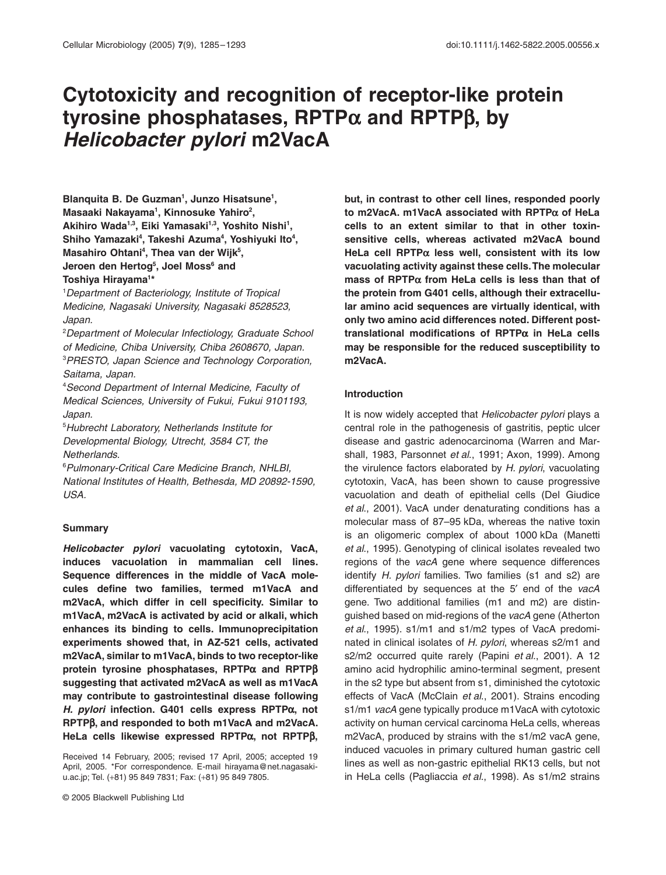# **Cytotoxicity and recognition of receptor-like protein tyrosine phosphatases, RPTP** a **and RPTP** b**, by**  *Helicobacter pylori* **m2VacA**

Blanquita B. De Guzman<sup>1</sup>, Junzo Hisatsune<sup>1</sup>, **Masaaki Nakayama1 , Kinnosuke Yahiro2 , Akihiro Wada1,3, Eiki Yamasaki1,3, Yoshito Nishi1 ,**  Shiho Yamazaki<sup>4</sup>, Takeshi Azuma<sup>4</sup>, Yoshiyuki Ito<sup>4</sup>, Masahiro Ohtani<sup>4</sup>, Thea van der Wijk<sup>5</sup>, Jeroen den Hertog<sup>5</sup>, Joel Moss<sup>6</sup> and **Toshiya Hirayama1 \***

1 *Department of Bacteriology, Institute of Tropical Medicine, Nagasaki University, Nagasaki 8528523, Japan.*

2 *Department of Molecular Infectiology, Graduate School of Medicine, Chiba University, Chiba 2608670, Japan.* 3 *PRESTO, Japan Science and Technology Corporation, Saitama, Japan.*

4 *Second Department of Internal Medicine, Faculty of Medical Sciences, University of Fukui, Fukui 9101193, Japan.*

5 *Hubrecht Laboratory, Netherlands Institute for Developmental Biology, Utrecht, 3584 CT, the Netherlands.*

6 *Pulmonary-Critical Care Medicine Branch, NHLBI, National Institutes of Health, Bethesda, MD 20892-1590, USA.*

#### **Summary**

*Helicobacter pylori* **vacuolating cytotoxin, VacA, induces vacuolation in mammalian cell lines. Sequence differences in the middle of VacA molecules define two families, termed m1VacA and m2VacA, which differ in cell specificity. Similar to m1VacA, m2VacA is activated by acid or alkali, which enhances its binding to cells. Immunoprecipitation experiments showed that, in AZ-521 cells, activated m2VacA, similar to m1VacA, binds to two receptor-like protein tyrosine phosphatases, RPTPα and RPTPβ suggesting that activated m2VacA as well as m1VacA may contribute to gastrointestinal disease following** *H. pylori* **infection. G401 cells express RPTP** a**, not RPTP** b**, and responded to both m1VacA and m2VacA. HeLa cells likewise expressed RPTPα, not RPTPβ,** 

Received 14 February, 2005; revised 17 April, 2005; accepted 19 April, 2005. \*For correspondence. E-mail hirayama@net.nagasakiu.ac.jp; Tel. (+81) 95 849 7831; Fax: (+81) 95 849 7805.

**but, in contrast to other cell lines, responded poorly to m2VacA. m1VacA associated with RPTP** a **of HeLa cells to an extent similar to that in other toxinsensitive cells, whereas activated m2VacA bound HeLa cell RPTP** a **less well, consistent with its low vacuolating activity against these cells. The molecular mass of RPTP** a **from HeLa cells is less than that of the protein from G401 cells, although their extracellular amino acid sequences are virtually identical, with only two amino acid differences noted. Different posttranslational modifications of RPTP** a **in HeLa cells may be responsible for the reduced susceptibility to m2VacA.**

#### **Introduction**

It is now widely accepted that *Helicobacter pylori* plays a central role in the pathogenesis of gastritis, peptic ulcer disease and gastric adenocarcinoma (Warren and Marshall, 1983, Parsonnet *et al*., 1991; Axon, 1999). Among the virulence factors elaborated by *H. pylori*, vacuolating cytotoxin, VacA, has been shown to cause progressive vacuolation and death of epithelial cells (Del Giudice *et al*., 2001). VacA under denaturating conditions has a molecular mass of 87–95 kDa, whereas the native toxin is an oligomeric complex of about 1000 kDa (Manetti *et al*., 1995). Genotyping of clinical isolates revealed two regions of the *vacA* gene where sequence differences identify *H. pylori* families. Two families (s1 and s2) are differentiated by sequences at the 5¢ end of the *vacA* gene. Two additional families (m1 and m2) are distinguished based on mid-regions of the *vacA* gene (Atherton *et al*., 1995). s1/m1 and s1/m2 types of VacA predominated in clinical isolates of *H. pylori*, whereas s2/m1 and s2/m2 occurred quite rarely (Papini *et al*., 2001). A 12 amino acid hydrophilic amino-terminal segment, present in the s2 type but absent from s1, diminished the cytotoxic effects of VacA (McClain *et al*., 2001). Strains encoding s1/m1 *vacA* gene typically produce m1VacA with cytotoxic activity on human cervical carcinoma HeLa cells, whereas m2VacA, produced by strains with the s1/m2 vacA gene, induced vacuoles in primary cultured human gastric cell lines as well as non-gastric epithelial RK13 cells, but not in HeLa cells (Pagliaccia *et al*., 1998). As s1/m2 strains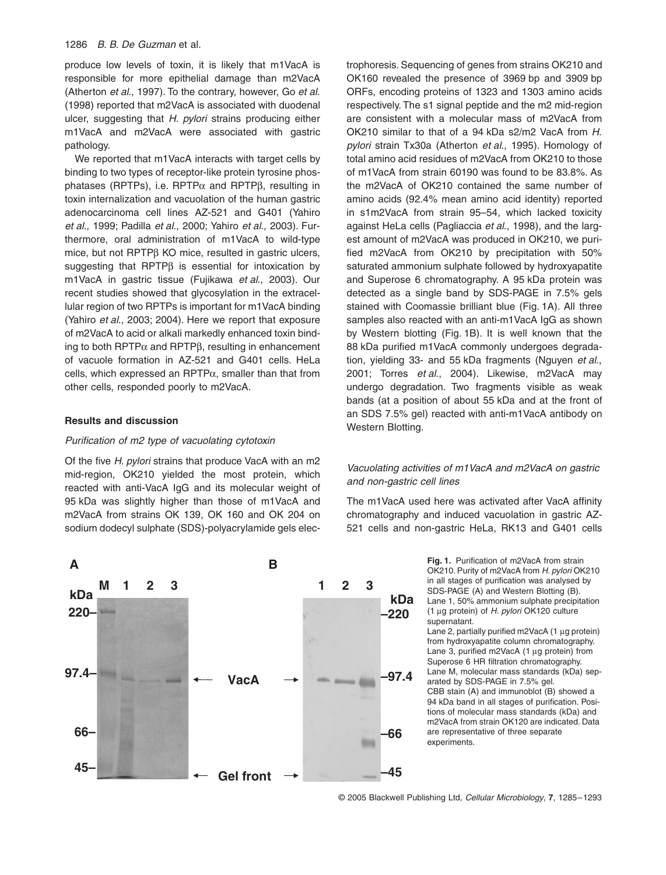## 1286 *B. B. De Guzman* et al.

produce low levels of toxin, it is likely that m1VacA is responsible for more epithelial damage than m2VacA (Atherton *et al*., 1997). To the contrary, however, Go *et al*. (1998) reported that m2VacA is associated with duodenal ulcer, suggesting that *H. pylori* strains producing either m1VacA and m2VacA were associated with gastric pathology.

We reported that m1VacA interacts with target cells by binding to two types of receptor-like protein tyrosine phosphatases (RPTPs), i.e. RPTP $\alpha$  and RPTP $\beta$ , resulting in toxin internalization and vacuolation of the human gastric adenocarcinoma cell lines AZ-521 and G401 (Yahiro *et al*., 1999; Padilla *et al*., 2000; Yahiro *et al*., 2003). Furthermore, oral administration of m1VacA to wild-type mice, but not  $RPTP\beta$  KO mice, resulted in gastric ulcers, suggesting that RPTP $\beta$  is essential for intoxication by m1VacA in gastric tissue (Fujikawa *et al*., 2003). Our recent studies showed that glycosylation in the extracellular region of two RPTPs is important for m1VacA binding (Yahiro *et al*., 2003; 2004). Here we report that exposure of m2VacA to acid or alkali markedly enhanced toxin binding to both RPTP $\alpha$  and RPTP $\beta$ , resulting in enhancement of vacuole formation in AZ-521 and G401 cells. HeLa cells, which expressed an  $RPTP\alpha$ , smaller than that from other cells, responded poorly to m2VacA.

## **Results and discussion**

#### *Purification of m2 type of vacuolating cytotoxin*

Of the five *H. pylori* strains that produce VacA with an m2 mid-region, OK210 yielded the most protein, which reacted with anti-VacA IgG and its molecular weight of 95 kDa was slightly higher than those of m1VacA and m2VacA from strains OK 139, OK 160 and OK 204 on sodium dodecyl sulphate (SDS)-polyacrylamide gels electrophoresis. Sequencing of genes from strains OK210 and OK160 revealed the presence of 3969 bp and 3909 bp ORFs, encoding proteins of 1323 and 1303 amino acids respectively. The s1 signal peptide and the m2 mid-region are consistent with a molecular mass of m2VacA from OK210 similar to that of a 94 kDa s2/m2 VacA from *H. pylori* strain Tx30a (Atherton *et al*., 1995). Homology of total amino acid residues of m2VacA from OK210 to those of m1VacA from strain 60190 was found to be 83.8%. As the m2VacA of OK210 contained the same number of amino acids (92.4% mean amino acid identity) reported in s1m2VacA from strain 95–54, which lacked toxicity against HeLa cells (Pagliaccia *et al*., 1998), and the largest amount of m2VacA was produced in OK210, we purified m2VacA from OK210 by precipitation with 50% saturated ammonium sulphate followed by hydroxyapatite and Superose 6 chromatography. A 95 kDa protein was detected as a single band by SDS-PAGE in 7.5% gels stained with Coomassie brilliant blue (Fig. 1A). All three samples also reacted with an anti-m1VacA IgG as shown by Western blotting (Fig. 1B). It is well known that the 88 kDa purified m1VacA commonly undergoes degradation, yielding 33- and 55 kDa fragments (Nguyen *et al*., 2001; Torres *et al*., 2004). Likewise, m2VacA may undergo degradation. Two fragments visible as weak bands (at a position of about 55 kDa and at the front of an SDS 7.5% gel) reacted with anti-m1VacA antibody on Western Blotting.

# *Vacuolating activities of m1VacA and m2VacA on gastric and non-gastric cell lines*

The m1VacA used here was activated after VacA affinity chromatography and induced vacuolation in gastric AZ-521 cells and non-gastric HeLa, RK13 and G401 cells



**Fig. 1.** Purification of m2VacA from strain OK210. Purity of m2VacA from *H. pylori* OK210 in all stages of purification was analysed by SDS-PAGE (A) and Western Blotting (B). Lane 1, 50% ammonium sulphate precipitation (1 mg protein) of *H. pylori* OK120 culture supernatant.

Lane 2, partially purified m2VacA  $(1 \mu g)$  protein) from hydroxyapatite column chromatography. Lane 3, purified m2VacA (1 µg protein) from Superose 6 HR filtration chromatography. Lane M, molecular mass standards (kDa) separated by SDS-PAGE in 7.5% gel. CBB stain (A) and immunoblot (B) showed a 94 kDa band in all stages of purification. Positions of molecular mass standards (kDa) and m2VacA from strain OK120 are indicated. Data are representative of three separate experiments.

© 2005 Blackwell Publishing Ltd, *Cellular Microbiology*, **7**, 1285–1293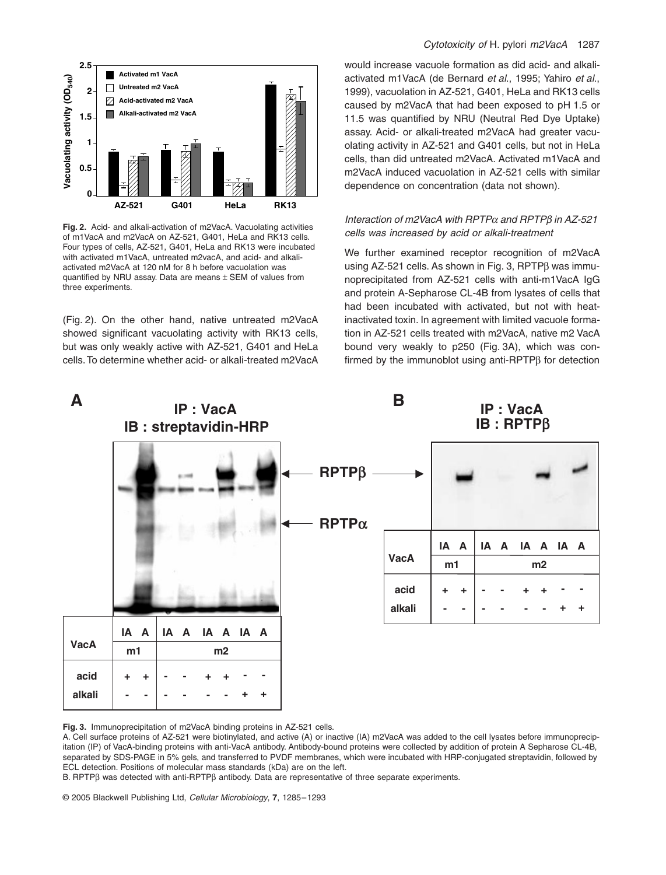

**Fig. 2.** Acid- and alkali-activation of m2VacA. Vacuolating activities of m1VacA and m2VacA on AZ-521, G401, HeLa and RK13 cells. Four types of cells, AZ-521, G401, HeLa and RK13 were incubated with activated m1VacA, untreated m2vacA, and acid- and alkaliactivated m2VacA at 120 nM for 8 h before vacuolation was quantified by NRU assay. Data are means  $\pm$  SEM of values from three experiments.

(Fig. 2). On the other hand, native untreated m2VacA showed significant vacuolating activity with RK13 cells, but was only weakly active with AZ-521, G401 and HeLa cells. To determine whether acid- or alkali-treated m2VacA

## *Cytotoxicity of* H. pylori *m2VacA* 1287

would increase vacuole formation as did acid- and alkaliactivated m1VacA (de Bernard *et al*., 1995; Yahiro *et al*., 1999), vacuolation in AZ-521, G401, HeLa and RK13 cells caused by m2VacA that had been exposed to pH 1.5 or 11.5 was quantified by NRU (Neutral Red Dye Uptake) assay. Acid- or alkali-treated m2VacA had greater vacuolating activity in AZ-521 and G401 cells, but not in HeLa cells, than did untreated m2VacA. Activated m1VacA and m2VacA induced vacuolation in AZ-521 cells with similar dependence on concentration (data not shown).

# *Interaction of m2VacA with RPTP*a *and RPTP*b *in AZ-521 cells was increased by acid or alkali-treatment*

We further examined receptor recognition of m2VacA using AZ-521 cells. As shown in Fig. 3, RPTPß was immunoprecipitated from AZ-521 cells with anti-m1VacA IgG and protein A-Sepharose CL-4B from lysates of cells that had been incubated with activated, but not with heatinactivated toxin. In agreement with limited vacuole formation in AZ-521 cells treated with m2VacA, native m2 VacA bound very weakly to p250 (Fig. 3A), which was confirmed by the immunoblot using anti-RPTP $\beta$  for detection



**Fig. 3.** Immunoprecipitation of m2VacA binding proteins in AZ-521 cells.

A. Cell surface proteins of AZ-521 were biotinylated, and active (A) or inactive (IA) m2VacA was added to the cell lysates before immunoprecipitation (IP) of VacA-binding proteins with anti-VacA antibody. Antibody-bound proteins were collected by addition of protein A Sepharose CL-4B, separated by SDS-PAGE in 5% gels, and transferred to PVDF membranes, which were incubated with HRP-conjugated streptavidin, followed by ECL detection. Positions of molecular mass standards (kDa) are on the left.

 $B$ . RPTP $\beta$  was detected with anti-RPTP $\beta$  antibody. Data are representative of three separate experiments.

© 2005 Blackwell Publishing Ltd, *Cellular Microbiology*, **7**, 1285–1293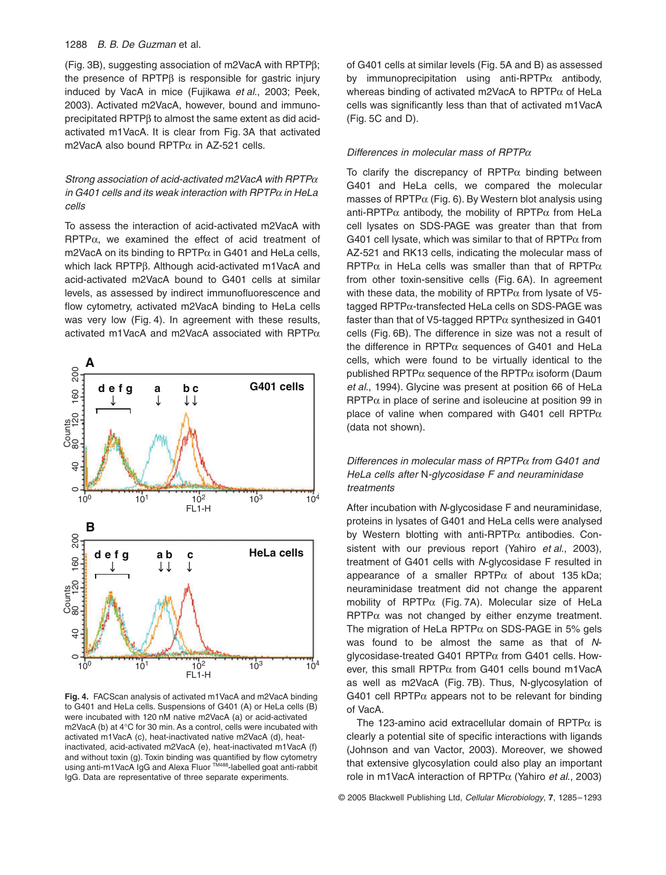## 1288 *B. B. De Guzman* et al.

(Fig. 3B), suggesting association of m2VacA with RPTPb; the presence of  $RPTP\beta$  is responsible for gastric injury induced by VacA in mice (Fujikawa *et al*., 2003; Peek, 2003). Activated m2VacA, however, bound and immunoprecipitated  $RPTP\beta$  to almost the same extent as did acidactivated m1VacA. It is clear from Fig. 3A that activated m2VacA also bound RPTP $\alpha$  in AZ-521 cells.

# *Strong association of acid-activated m2VacA with RPTP*<sup>a</sup> *in G401 cells and its weak interaction with RPTP*a *in HeLa cells*

To assess the interaction of acid-activated m2VacA with  $RPTP\alpha$ , we examined the effect of acid treatment of m2VacA on its binding to RPTP $\alpha$  in G401 and HeLa cells, which lack RPTPβ. Although acid-activated m1VacA and acid-activated m2VacA bound to G401 cells at similar levels, as assessed by indirect immunofluorescence and flow cytometry, activated m2VacA binding to HeLa cells was very low (Fig. 4). In agreement with these results, activated m1VacA and m2VacA associated with RPTP $\alpha$ 



**Fig. 4.** FACScan analysis of activated m1VacA and m2VacA binding to G401 and HeLa cells. Suspensions of G401 (A) or HeLa cells (B) were incubated with 120 nM native m2VacA (a) or acid-activated m2VacA (b) at 4∞C for 30 min. As a control, cells were incubated with activated m1VacA (c), heat-inactivated native m2VacA (d), heatinactivated, acid-activated m2VacA (e), heat-inactivated m1VacA (f) and without toxin (g). Toxin binding was quantified by flow cytometry using anti-m1VacA IgG and Alexa Fluor TM488-labelled goat anti-rabbit IgG. Data are representative of three separate experiments.

of G401 cells at similar levels (Fig. 5A and B) as assessed by immunoprecipitation using anti-RPTP $\alpha$  antibody, whereas binding of activated m2VacA to RPTP $\alpha$  of HeLa cells was significantly less than that of activated m1VacA (Fig. 5C and D).

#### *Differences in molecular mass of RPTP*<sup>a</sup>

To clarify the discrepancy of  $RPTP\alpha$  binding between G401 and HeLa cells, we compared the molecular masses of RPTP $\alpha$  (Fig. 6). By Western blot analysis using anti-RPTP $\alpha$  antibody, the mobility of RPTP $\alpha$  from HeLa cell lysates on SDS-PAGE was greater than that from G401 cell lysate, which was similar to that of RPTP $\alpha$  from AZ-521 and RK13 cells, indicating the molecular mass of RPTP $\alpha$  in HeLa cells was smaller than that of RPTP $\alpha$ from other toxin-sensitive cells (Fig. 6A). In agreement with these data, the mobility of  $RPTP\alpha$  from lysate of V5tagged RPTPα-transfected HeLa cells on SDS-PAGE was faster than that of V5-tagged RPTP $\alpha$  synthesized in G401 cells (Fig. 6B). The difference in size was not a result of the difference in RPTP $\alpha$  sequences of G401 and HeLa cells, which were found to be virtually identical to the published RPTP $\alpha$  sequence of the RPTP $\alpha$  isoform (Daum *et al*., 1994). Glycine was present at position 66 of HeLa  $RPTP\alpha$  in place of serine and isoleucine at position 99 in place of valine when compared with G401 cell RPTP $\alpha$ (data not shown).

# *Differences in molecular mass of RPTP*a *from G401 and HeLa cells after* N*-glycosidase F and neuraminidase treatments*

After incubation with *N*-glycosidase F and neuraminidase, proteins in lysates of G401 and HeLa cells were analysed by Western blotting with anti-RPTP $\alpha$  antibodies. Consistent with our previous report (Yahiro *et al*., 2003), treatment of G401 cells with *N*-glycosidase F resulted in appearance of a smaller  $RPTP\alpha$  of about 135 kDa; neuraminidase treatment did not change the apparent mobility of  $RPTP\alpha$  (Fig. 7A). Molecular size of HeLa  $RPTP\alpha$  was not changed by either enzyme treatment. The migration of HeLa RPTP $\alpha$  on SDS-PAGE in 5% gels was found to be almost the same as that of *N*glycosidase-treated G401 RPTP $\alpha$  from G401 cells. However, this small RPTP $\alpha$  from G401 cells bound m1VacA as well as m2VacA (Fig. 7B). Thus, N-glycosylation of G401 cell RPTP $\alpha$  appears not to be relevant for binding of VacA.

The 123-amino acid extracellular domain of RPTP $\alpha$  is clearly a potential site of specific interactions with ligands (Johnson and van Vactor, 2003). Moreover, we showed that extensive glycosylation could also play an important role in m1VacA interaction of RPTPa (Yahiro *et al*., 2003)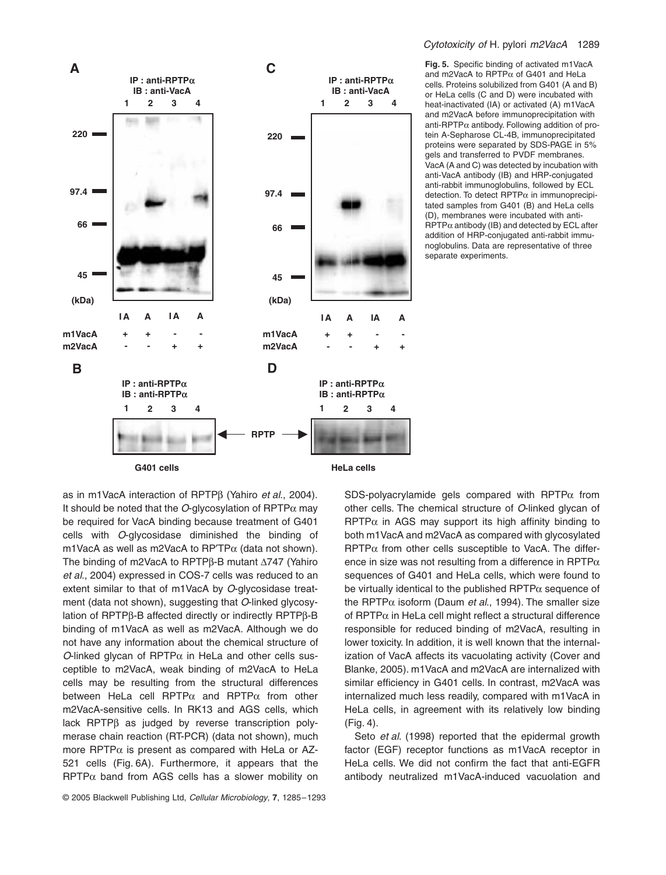

#### *Cytotoxicity of* H. pylori *m2VacA* 1289

**Fig. 5.** Specific binding of activated m1VacA and m2VacA to RPTP $\alpha$  of G401 and HeLa cells. Proteins solubilized from G401 (A and B) or HeLa cells (C and D) were incubated with heat-inactivated (IA) or activated (A) m1VacA and m2VacA before immunoprecipitation with anti-RPTP $\alpha$  antibody. Following addition of protein A-Sepharose CL-4B, immunoprecipitated proteins were separated by SDS-PAGE in 5% gels and transferred to PVDF membranes. VacA (A and C) was detected by incubation with anti-VacA antibody (IB) and HRP-conjugated anti-rabbit immunoglobulins, followed by ECL detection. To detect  $RPTP\alpha$  in immunoprecipitated samples from G401 (B) and HeLa cells (D), membranes were incubated with anti- $RPTP\alpha$  antibody (IB) and detected by ECL after addition of HRP-conjugated anti-rabbit immunoglobulins. Data are representative of three separate experiments.

as in m1VacA interaction of RPTPb (Yahiro *et al*., 2004). It should be noted that the *O*-glycosylation of  $RPTP\alpha$  may be required for VacA binding because treatment of G401 cells with *O*-glycosidase diminished the binding of m1VacA as well as m2VacA to  $RP^{\prime}TP\alpha$  (data not shown). The binding of m2VacA to RPTP $\beta$ -B mutant  $\Delta$ 747 (Yahiro *et al*., 2004) expressed in COS-7 cells was reduced to an extent similar to that of m1VacA by *O*-glycosidase treatment (data not shown), suggesting that *O*-linked glycosylation of RPTPβ-B affected directly or indirectly RPTPβ-B binding of m1VacA as well as m2VacA. Although we do not have any information about the chemical structure of *O*-linked glycan of RPTP $\alpha$  in HeLa and other cells susceptible to m2VacA, weak binding of m2VacA to HeLa cells may be resulting from the structural differences between HeLa cell RPTP $\alpha$  and RPTP $\alpha$  from other m2VacA-sensitive cells. In RK13 and AGS cells, which lack  $RPTP\beta$  as judged by reverse transcription polymerase chain reaction (RT-PCR) (data not shown), much more RPTP $\alpha$  is present as compared with HeLa or AZ-521 cells (Fig. 6A). Furthermore, it appears that the  $RPTP\alpha$  band from AGS cells has a slower mobility on

SDS-polyacrylamide gels compared with RPTP $\alpha$  from other cells. The chemical structure of *O*-linked glycan of  $RPTP\alpha$  in AGS may support its high affinity binding to both m1VacA and m2VacA as compared with glycosylated  $RPTP\alpha$  from other cells susceptible to VacA. The difference in size was not resulting from a difference in RPTP $\alpha$ sequences of G401 and HeLa cells, which were found to be virtually identical to the published  $RPTP\alpha$  sequence of the RPTP $\alpha$  isoform (Daum *et al.*, 1994). The smaller size of  $RPTP\alpha$  in HeLa cell might reflect a structural difference responsible for reduced binding of m2VacA, resulting in lower toxicity. In addition, it is well known that the internalization of VacA affects its vacuolating activity (Cover and Blanke, 2005). m1VacA and m2VacA are internalized with similar efficiency in G401 cells. In contrast, m2VacA was internalized much less readily, compared with m1VacA in HeLa cells, in agreement with its relatively low binding (Fig. 4).

Seto *et al*. (1998) reported that the epidermal growth factor (EGF) receptor functions as m1VacA receptor in HeLa cells. We did not confirm the fact that anti-EGFR antibody neutralized m1VacA-induced vacuolation and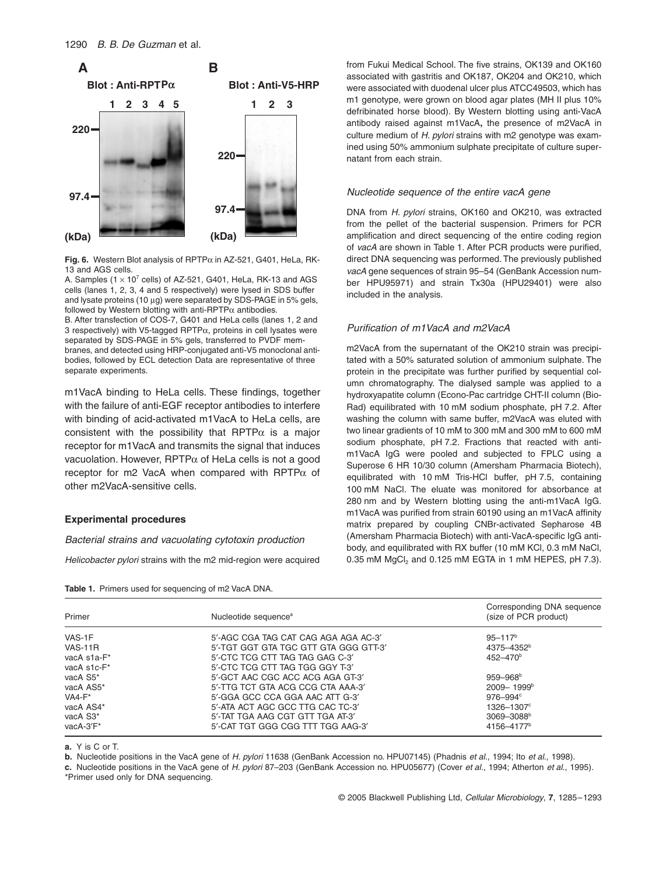

**Fig. 6.** Western Blot analysis of  $RPTP\alpha$  in AZ-521, G401, HeLa, RK-13 and AGS cells.

A. Samples  $(1 \times 10^7 \text{ cells})$  of AZ-521, G401, HeLa, RK-13 and AGS cells (lanes 1, 2, 3, 4 and 5 respectively) were lysed in SDS buffer and lysate proteins (10  $\mu$ g) were separated by SDS-PAGE in 5% gels, followed by Western blotting with anti-RPTP $\alpha$  antibodies.

B. After transfection of COS-7, G401 and HeLa cells (lanes 1, 2 and 3 respectively) with V5-tagged RPTP $\alpha$ , proteins in cell lysates were separated by SDS-PAGE in 5% gels, transferred to PVDF membranes, and detected using HRP-conjugated anti-V5 monoclonal antibodies, followed by ECL detection Data are representative of three separate experiments.

m1VacA binding to HeLa cells. These findings, together with the failure of anti-EGF receptor antibodies to interfere with binding of acid-activated m1VacA to HeLa cells, are consistent with the possibility that RPTP $\alpha$  is a major receptor for m1VacA and transmits the signal that induces vacuolation. However, RPTP $\alpha$  of HeLa cells is not a good receptor for m2 VacA when compared with RPTP $\alpha$  of other m2VacA-sensitive cells.

#### **Experimental procedures**

#### *Bacterial strains and vacuolating cytotoxin production*

**Table 1.** Primers used for sequencing of m2 VacA DNA.

*Helicobacter pylori* strains with the m2 mid-region were acquired

from Fukui Medical School. The five strains, OK139 and OK160 associated with gastritis and OK187, OK204 and OK210, which were associated with duodenal ulcer plus ATCC49503, which has m1 genotype, were grown on blood agar plates (MH II plus 10% defribinated horse blood). By Western blotting using anti-VacA antibody raised against m1VacA**,** the presence of m2VacA in culture medium of *H. pylori* strains with m2 genotype was examined using 50% ammonium sulphate precipitate of culture supernatant from each strain.

#### *Nucleotide sequence of the entire vacA gene*

DNA from *H. pylori* strains, OK160 and OK210, was extracted from the pellet of the bacterial suspension. Primers for PCR amplification and direct sequencing of the entire coding region of *vacA* are shown in Table 1. After PCR products were purified, direct DNA sequencing was performed. The previously published *vacA* gene sequences of strain 95–54 (GenBank Accession number HPU95971) and strain Tx30a (HPU29401) were also included in the analysis.

## *Purification of m1VacA and m2VacA*

m2VacA from the supernatant of the OK210 strain was precipitated with a 50% saturated solution of ammonium sulphate. The protein in the precipitate was further purified by sequential column chromatography. The dialysed sample was applied to a hydroxyapatite column (Econo-Pac cartridge CHT-II column (Bio-Rad) equilibrated with 10 mM sodium phosphate, pH 7.2. After washing the column with same buffer, m2VacA was eluted with two linear gradients of 10 mM to 300 mM and 300 mM to 600 mM sodium phosphate, pH 7.2. Fractions that reacted with antim1VacA IgG were pooled and subjected to FPLC using a Superose 6 HR 10/30 column (Amersham Pharmacia Biotech), equilibrated with 10 mM Tris-HCl buffer, pH 7.5, containing 100 mM NaCl. The eluate was monitored for absorbance at 280 nm and by Western blotting using the anti-m1VacA IgG. m1VacA was purified from strain 60190 using an m1VacA affinity matrix prepared by coupling CNBr-activated Sepharose 4B (Amersham Pharmacia Biotech) with anti-VacA-specific IgG antibody, and equilibrated with RX buffer (10 mM KCl, 0.3 mM NaCl, 0.35 mM  $MgCl<sub>2</sub>$  and 0.125 mM EGTA in 1 mM HEPES, pH 7.3).

| Primer         | Nucleotide sequence <sup>a</sup>      | Corresponding DNA sequence<br>(size of PCR product) |
|----------------|---------------------------------------|-----------------------------------------------------|
| VAS-1F         | 5'-AGC CGA TAG CAT CAG AGA AGA AC-3'  | $95 - 117$ <sup>b</sup>                             |
| <b>VAS-11R</b> | 5'-TGT GGT GTA TGC GTT GTA GGG GTT-3' | 4375-4352 <sup>b</sup>                              |
| vacA s1a-F*    | 5'-CTC TCG CTT TAG TAG GAG C-3'       | $452 - 470$ <sup>b</sup>                            |
| vacA s1c-F*    | 5'-CTC TCG CTT TAG TGG GGY T-3'       |                                                     |
| vacA S5*       | 5'-GCT AAC CGC ACC ACG AGA GT-3'      | $959 - 968$ <sup>b</sup>                            |
| vacA AS5*      | 5'-TTG TCT GTA ACG CCG CTA AAA-3'     | $2009 - 1999$ <sup>b</sup>                          |
| $VA4-F*$       | 5'-GGA GCC CCA GGA AAC ATT G-3'       | $976 - 994$ <sup>c</sup>                            |
| vacA AS4*      | 5'-ATA ACT AGC GCC TTG CAC TC-3'      | 1326-1307°                                          |
| vacA S3*       | 5'-TAT TGA AAG CGT GTT TGA AT-3'      | 3069-3088 <sup>b</sup>                              |
| vacA-3'F*      | 5'-CAT TGT GGG CGG TTT TGG AAG-3'     | 4156-4177 <sup>b</sup>                              |

**a.** Y is C or T.

**b.** Nucleotide positions in the VacA gene of *H. pylori* 11638 (GenBank Accession no. HPU07145) (Phadnis *et al*., 1994; Ito *et al*., 1998).

**c.** Nucleotide positions in the VacA gene of *H. pylori* 87–203 (GenBank Accession no. HPU05677) (Cover *et al*., 1994; Atherton *et al*., 1995). \*Primer used only for DNA sequencing.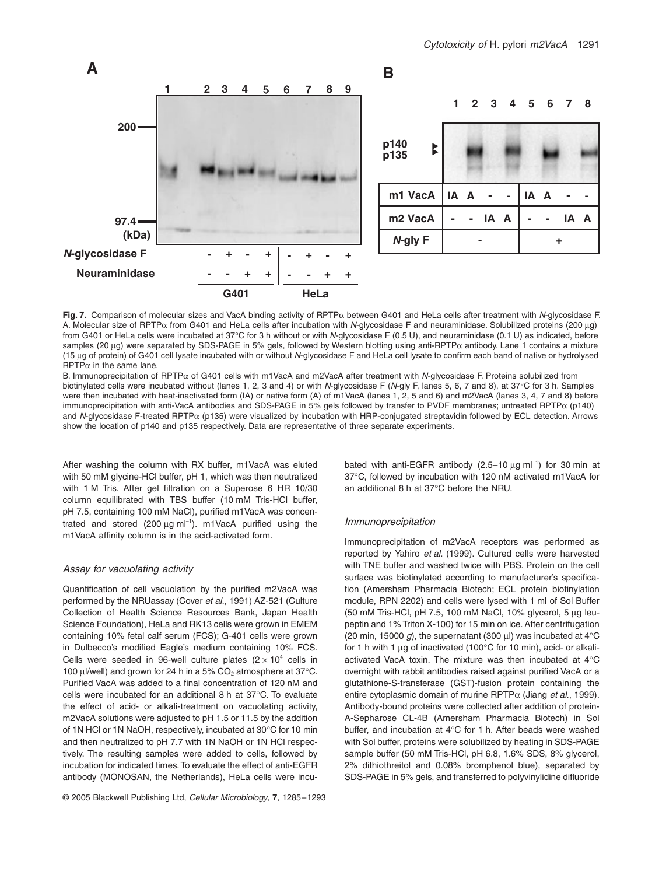

**Fig. 7.** Comparison of molecular sizes and VacA binding activity of RPTPa between G401 and HeLa cells after treatment with *N*-glycosidase F. A. Molecular size of RPTP<sub><sup> $\alpha$ </sup> from G401 and HeLa cells after incubation with *N*-glycosidase F and neuraminidase. Solubilized proteins (200 µg)</sub> from G401 or HeLa cells were incubated at 37∞C for 3 h without or with *N*-glycosidase F (0.5 U), and neuraminidase (0.1 U) as indicated, before samples (20  $\mu$ g) were separated by SDS-PAGE in 5% gels, followed by Western blotting using anti-RPTP $\alpha$  antibody. Lane 1 contains a mixture (15 mg of protein) of G401 cell lysate incubated with or without *N*-glycosidase F and HeLa cell lysate to confirm each band of native or hydrolysed  $RPTP\alpha$  in the same lane.

B. Immunoprecipitation of RPTPa of G401 cells with m1VacA and m2VacA after treatment with *N*-glycosidase F. Proteins solubilized from biotinylated cells were incubated without (lanes 1, 2, 3 and 4) or with *N*-glycosidase F (*N*-gly F, lanes 5, 6, 7 and 8), at 37∞C for 3 h. Samples were then incubated with heat-inactivated form (IA) or native form (A) of m1VacA (lanes 1, 2, 5 and 6) and m2VacA (lanes 3, 4, 7 and 8) before immunoprecipitation with anti-VacA antibodies and SDS-PAGE in 5% gels followed by transfer to PVDF membranes; untreated RPTP $\alpha$  (p140) and *N*-glycosidase F-treated RPTP<sub> $\alpha$ </sub> (p135) were visualized by incubation with HRP-conjugated streptavidin followed by ECL detection. Arrows show the location of p140 and p135 respectively. Data are representative of three separate experiments.

After washing the column with RX buffer, m1VacA was eluted with 50 mM glycine-HCl buffer, pH 1, which was then neutralized with 1 M Tris. After gel filtration on a Superose 6 HR 10/30 column equilibrated with TBS buffer (10 mM Tris-HCl buffer, pH 7.5, containing 100 mM NaCl), purified m1VacA was concentrated and stored  $(200 \,\mu g \text{ ml}^{-1})$ . m1VacA purified using the m1VacA affinity column is in the acid-activated form.

#### *Assay for vacuolating activity*

Quantification of cell vacuolation by the purified m2VacA was performed by the NRUassay (Cover *et al*., 1991) AZ-521 (Culture Collection of Health Science Resources Bank, Japan Health Science Foundation), HeLa and RK13 cells were grown in EMEM containing 10% fetal calf serum (FCS); G-401 cells were grown in Dulbecco's modified Eagle's medium containing 10% FCS. Cells were seeded in 96-well culture plates ( $2 \times 10^4$  cells in 100 ul/well) and grown for 24 h in a 5% CO<sub>2</sub> atmosphere at 37 $^{\circ}$ C. Purified VacA was added to a final concentration of 120 nM and cells were incubated for an additional 8 h at 37∞C. To evaluate the effect of acid- or alkali-treatment on vacuolating activity, m2VacA solutions were adjusted to pH 1.5 or 11.5 by the addition of 1N HCl or 1N NaOH, respectively, incubated at 30∞C for 10 min and then neutralized to pH 7.7 with 1N NaOH or 1N HCl respectively. The resulting samples were added to cells, followed by incubation for indicated times. To evaluate the effect of anti-EGFR antibody (MONOSAN, the Netherlands), HeLa cells were incu-

© 2005 Blackwell Publishing Ltd, *Cellular Microbiology*, **7**, 1285–1293

bated with anti-EGFR antibody (2.5–10 µg ml<sup>-1</sup>) for 30 min at 37∞C, followed by incubation with 120 nM activated m1VacA for an additional 8 h at 37∞C before the NRU.

#### *Immunoprecipitation*

Immunoprecipitation of m2VacA receptors was performed as reported by Yahiro *et al*. (1999). Cultured cells were harvested with TNE buffer and washed twice with PBS. Protein on the cell surface was biotinylated according to manufacturer's specification (Amersham Pharmacia Biotech; ECL protein biotinylation module, RPN 2202) and cells were lysed with 1 ml of Sol Buffer (50 mM Tris-HCl, pH 7.5, 100 mM NaCl, 10% glycerol, 5  $\mu$ g leupeptin and 1% Triton X-100) for 15 min on ice. After centrifugation (20 min, 15000  $g$ ), the supernatant (300 µl) was incubated at 4 $\rm{°C}$ for 1 h with 1  $\mu$ g of inactivated (100 $\degree$ C for 10 min), acid- or alkaliactivated VacA toxin. The mixture was then incubated at 4∞C overnight with rabbit antibodies raised against purified VacA or a glutathione-S-transferase (GST)-fusion protein containing the entire cytoplasmic domain of murine RPTPa (Jiang *et al*., 1999). Antibody-bound proteins were collected after addition of protein-A-Sepharose CL-4B (Amersham Pharmacia Biotech) in Sol buffer, and incubation at 4∞C for 1 h. After beads were washed with Sol buffer, proteins were solubilized by heating in SDS-PAGE sample buffer (50 mM Tris-HCl, pH 6.8, 1.6% SDS, 8% glycerol, 2% dithiothreitol and 0.08% bromphenol blue), separated by SDS-PAGE in 5% gels, and transferred to polyvinylidine difluoride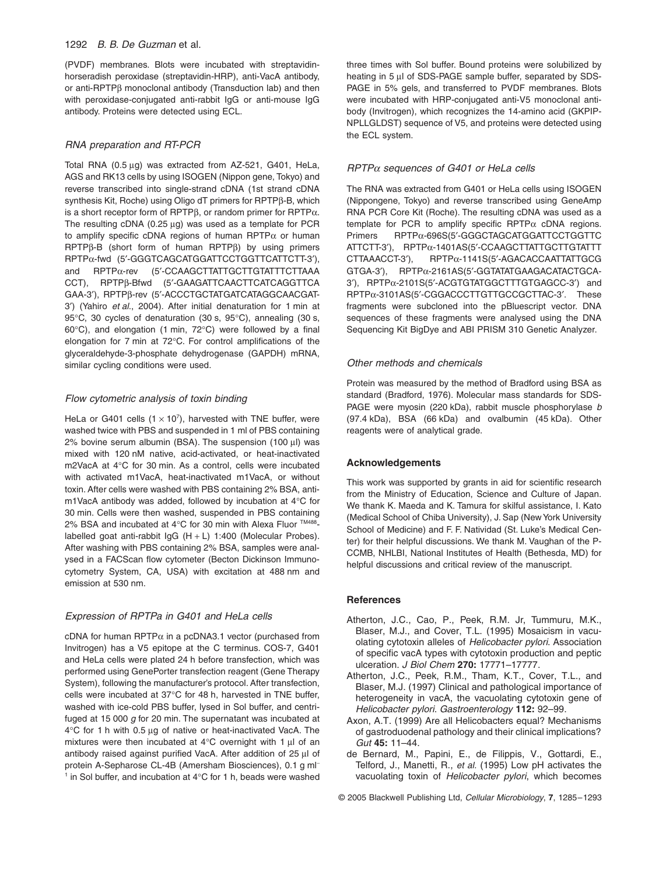#### 1292 *B. B. De Guzman* et al.

(PVDF) membranes. Blots were incubated with streptavidinhorseradish peroxidase (streptavidin-HRP), anti-VacA antibody, or anti-RPTP $\beta$  monoclonal antibody (Transduction lab) and then with peroxidase-conjugated anti-rabbit IgG or anti-mouse IgG antibody. Proteins were detected using ECL.

#### *RNA preparation and RT-PCR*

Total RNA (0.5  $\mu$ g) was extracted from AZ-521, G401, HeLa, AGS and RK13 cells by using ISOGEN (Nippon gene, Tokyo) and reverse transcribed into single-strand cDNA (1st strand cDNA synthesis Kit, Roche) using Oligo dT primers for RPTPß-B, which is a short receptor form of RPTP $\beta$ , or random primer for RPTP $\alpha$ . The resulting cDNA (0.25  $\mu$ g) was used as a template for PCR to amplify specific cDNA regions of human RPTP $\alpha$  or human  $RPTP\beta-B$  (short form of human  $RPTP\beta$ ) by using primers RPTPα-fwd (5'-GGGTCAGCATGGATTCCTGGTTCATTCTT-3'), and RPTPa-rev (5¢-CCAAGCTTATTGCTTGTATTTCTTAAA CCT), RPTPß-Bfwd (5'-GAAGATTCAACTTCATCAGGTTCA GAA-3'), RPTPß-rev (5'-ACCCTGCTATGATCATAGGCAACGAT-3¢) (Yahiro *et al*., 2004). After initial denaturation for 1 min at 95°C, 30 cycles of denaturation (30 s, 95°C), annealing (30 s, 60∞C), and elongation (1 min, 72∞C) were followed by a final elongation for 7 min at 72∞C. For control amplifications of the glyceraldehyde-3-phosphate dehydrogenase (GAPDH) mRNA, similar cycling conditions were used.

#### *Flow cytometric analysis of toxin binding*

HeLa or G401 cells  $(1 \times 10^7)$ , harvested with TNE buffer, were washed twice with PBS and suspended in 1 ml of PBS containing  $2\%$  bovine serum albumin (BSA). The suspension (100  $\mu$ l) was mixed with 120 nM native, acid-activated, or heat-inactivated m2VacA at 4∞C for 30 min. As a control, cells were incubated with activated m1VacA, heat-inactivated m1VacA, or without toxin. After cells were washed with PBS containing 2% BSA, antim1VacA antibody was added, followed by incubation at 4∞C for 30 min. Cells were then washed, suspended in PBS containing 2% BSA and incubated at 4°C for 30 min with Alexa Fluor ™488labelled goat anti-rabbit IgG (H + L) 1:400 (Molecular Probes). After washing with PBS containing 2% BSA, samples were analysed in a FACScan flow cytometer (Becton Dickinson Immunocytometry System, CA, USA) with excitation at 488 nm and emission at 530 nm.

#### *Expression of RPTPa in G401 and HeLa cells*

cDNA for human RPTP $\alpha$  in a pcDNA3.1 vector (purchased from Invitrogen) has a V5 epitope at the C terminus. COS-7, G401 and HeLa cells were plated 24 h before transfection, which was performed using GenePorter transfection reagent (Gene Therapy System), following the manufacturer's protocol. After transfection, cells were incubated at 37∞C for 48 h, harvested in TNE buffer, washed with ice-cold PBS buffer, lysed in Sol buffer, and centrifuged at 15 000 *g* for 20 min. The supernatant was incubated at 4∞C for 1 h with 0.5 mg of native or heat-inactivated VacA. The mixtures were then incubated at 4 $°C$  overnight with 1  $\mu$ l of an antibody raised against purified VacA. After addition of 25 ul of protein A-Sepharose CL-4B (Amersham Biosciences), 0.1 g ml<sup>-</sup> <sup>1</sup> in Sol buffer, and incubation at 4℃ for 1 h, beads were washed

three times with Sol buffer. Bound proteins were solubilized by heating in 5 µl of SDS-PAGE sample buffer, separated by SDS-PAGE in 5% gels, and transferred to PVDF membranes. Blots were incubated with HRP-conjugated anti-V5 monoclonal antibody (Invitrogen), which recognizes the 14-amino acid (GKPIP-NPLLGLDST) sequence of V5, and proteins were detected using the ECL system.

#### *RPTP*a *sequences of G401 or HeLa cells*

The RNA was extracted from G401 or HeLa cells using ISOGEN (Nippongene, Tokyo) and reverse transcribed using GeneAmp RNA PCR Core Kit (Roche). The resulting cDNA was used as a template for PCR to amplify specific RPTP $\alpha$  cDNA regions. Primers RPTPa-696S(5¢-GGGCTAGCATGGATTCCTGGTTC ATTCTT-3¢), RPTPa-1401AS(5¢-CCAAGCTTATTGCTTGTATTT  $CTTAAACCT-3'$ ), RPTP $\alpha$ -1141S(5'-AGACACCAATTATTGCG GTGA-3<sup>'</sup>), RPTPα-2161AS(5'-GGTATATGAAGACATACTGCA-3'), RPTPα-2101S(5'-ACGTGTATGGCTTTGTGAGCC-3') and RPTPα-3101AS(5'-CGGACCCTTGTTGCCGCTTAC-3'. These fragments were subcloned into the pBluescript vector. DNA sequences of these fragments were analysed using the DNA Sequencing Kit BigDye and ABI PRISM 310 Genetic Analyzer.

## *Other methods and chemicals*

Protein was measured by the method of Bradford using BSA as standard (Bradford, 1976). Molecular mass standards for SDS-PAGE were myosin (220 kDa), rabbit muscle phosphorylase *b* (97.4 kDa), BSA (66 kDa) and ovalbumin (45 kDa). Other reagents were of analytical grade.

#### **Acknowledgements**

This work was supported by grants in aid for scientific research from the Ministry of Education, Science and Culture of Japan. We thank K. Maeda and K. Tamura for skilful assistance, I. Kato (Medical School of Chiba University), J. Sap (New York University School of Medicine) and F. F. Natividad (St. Luke's Medical Center) for their helpful discussions. We thank M. Vaughan of the P-CCMB, NHLBI, National Institutes of Health (Bethesda, MD) for helpful discussions and critical review of the manuscript.

#### **References**

- Atherton, J.C., Cao, P., Peek, R.M. Jr, Tummuru, M.K., Blaser, M.J., and Cover, T.L. (1995) Mosaicism in vacuolating cytotoxin alleles of *Helicobacter pylori*. Association of specific vacA types with cytotoxin production and peptic ulceration. *J Biol Chem* **270:** 17771–17777.
- Atherton, J.C., Peek, R.M., Tham, K.T., Cover, T.L., and Blaser, M.J. (1997) Clinical and pathological importance of heterogeneity in vacA, the vacuolating cytotoxin gene of *Helicobacter pylori*. *Gastroenterology* **112:** 92–99.
- Axon, A.T. (1999) Are all Helicobacters equal? Mechanisms of gastroduodenal pathology and their clinical implications? *Gut* **45:** 11–44.
- de Bernard, M., Papini, E., de Filippis, V., Gottardi, E., Telford, J., Manetti, R., *et al.* (1995) Low pH activates the vacuolating toxin of *Helicobacter pylori*, which becomes

© 2005 Blackwell Publishing Ltd, *Cellular Microbiology*, **7**, 1285–1293